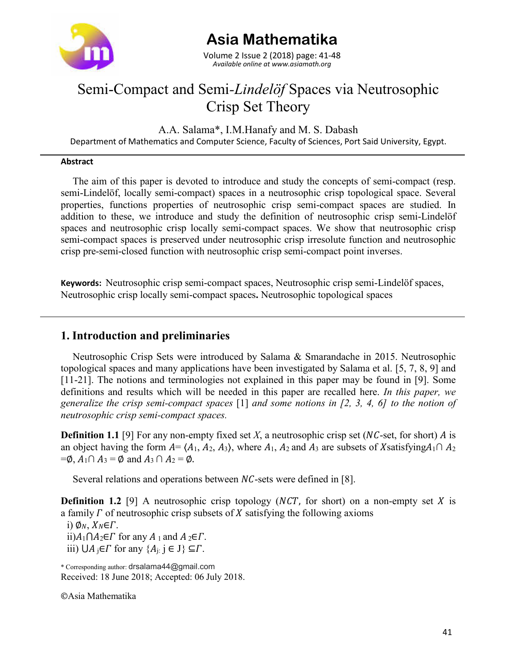

# **Asia Mathematika**

*Available online at www.asiamath.org* Volume 2 Issue 2 (2018) page: 41-48

# Semi-Compact and Semi*-Lindelӧf* Spaces via Neutrosophic Crisp Set Theory

A.A. Salama\*, I.M.Hanafy and M. S. Dabash

Department of Mathematics and Computer Science, Faculty of Sciences, Port Said University, Egypt.

#### **Abstract**

The aim of this paper is devoted to introduce and study the concepts of semi-compact (resp. semi-Lindelöf, locally semi-compact) spaces in a neutrosophic crisp topological space. Several properties, functions properties of neutrosophic crisp semi-compact spaces are studied. In addition to these, we introduce and study the definition of neutrosophic crisp semi-Lindelöf spaces and neutrosophic crisp locally semi-compact spaces. We show that neutrosophic crisp semi-compact spaces is preserved under neutrosophic crisp irresolute function and neutrosophic crisp pre-semi-closed function with neutrosophic crisp semi-compact point inverses.

**Keywords:** Neutrosophic crisp semi-compact spaces, Neutrosophic crisp semi-Lindelӧf spaces, Neutrosophic crisp locally semi-compact spaces**.** Neutrosophic topological spaces

## **1. Introduction and preliminaries**

Neutrosophic Crisp Sets were introduced by Salama & Smarandache in 2015. Neutrosophic topological spaces and many applications have been investigated by Salama et al. [5, 7, 8, 9] and [11-21]. The notions and terminologies not explained in this paper may be found in [9]. Some definitions and results which will be needed in this paper are recalled here. *In this paper, we generalize the crisp semi-compact spaces* [1] *and some notions in [2, 3, 4, 6] to the notion of neutrosophic crisp semi-compact spaces.*

**Definition 1.1** [9] For any non-empty fixed set *X*, a neutrosophic crisp set (*NC*-set, for short) *A* is an object having the form  $A = (A_1, A_2, A_3)$ , where  $A_1$ ,  $A_2$  and  $A_3$  are subsets of X satisfying  $A_1 \cap A_2$  $=\emptyset$ ,  $A_1 \cap A_3 = \emptyset$  and  $A_3 \cap A_2 = \emptyset$ .

Several relations and operations between  $NC$ -sets were defined in [8].

**Definition 1.2** [9] A neutrosophic crisp topology ( $NCT$ , for short) on a non-empty set X is a family  $\Gamma$  of neutrosophic crisp subsets of  $X$  satisfying the following axioms i)  $\phi_N$ ,  $X_N \in \Gamma$ . ii) $A_1$ ∩ $A_2 \in \Gamma$  for any  $A_1$  and  $A_2 \in \Gamma$ . iii)  $\bigcup A_i \in \Gamma$  for any  $\{A_i: i \in J\} \subseteq \Gamma$ .

\* Corresponding author: drsalama44@gmail.com Received: 18 June 2018; Accepted: 06 July 2018.

Asia Mathematika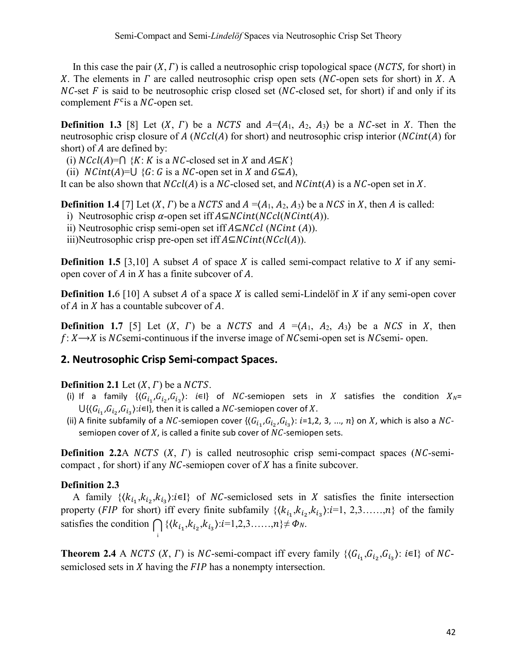In this case the pair  $(X, \Gamma)$  is called a neutrosophic crisp topological space (NCTS, for short) in X. The elements in  $\Gamma$  are called neutrosophic crisp open sets (NC-open sets for short) in X. A  $NC$ -set  $F$  is said to be neutrosophic crisp closed set ( $NC$ -closed set, for short) if and only if its complement  $F^c$  is a NC-open set.

**Definition 1.3** [8] Let  $(X, \Gamma)$  be a *NCTS* and  $A = \langle A_1, A_2, A_3 \rangle$  be a *NC*-set in X. Then the neutrosophic crisp closure of  $A(NCcl(A))$  for short) and neutrosophic crisp interior  $(NCint(A))$  for short) of  $A$  are defined by:

(i)  $NCcl(A)=\bigcap {K: K \text{ is a } NC$ -closed set in X and  $A\subseteq K}$ 

(ii)  $NCint(A)=\bigcup {G: G \text{ is a } NC\text{-open set in } X \text{ and } G\subseteq A}.$ 

It can be also shown that  $NCcl(A)$  is a  $NC$ -closed set, and  $NCint(A)$  is a  $NC$ -open set in X.

**Definition 1.4** [7] Let  $(X, \Gamma)$  be a NCTS and  $A = (A_1, A_2, A_3)$  be a NCS in X, then A is called:

i) Neutrosophic crisp  $\alpha$ -open set iff  $A\subseteq NCint(NCint(A)).$ 

ii) Neutrosophic crisp semi-open set iff  $A \subseteq NCcl$  (NCint (A)).

iii)Neutrosophic crisp pre-open set iff  $A\subseteq NCint(NCcl(A))$ .

**Definition 1.5** [3,10] A subset A of space X is called semi-compact relative to X if any semiopen cover of  $A$  in  $X$  has a finite subcover of  $A$ .

**Definition 1.6** [10] A subset A of a space X is called semi-Lindelöf in X if any semi-open cover of  $A$  in  $X$  has a countable subcover of  $A$ .

**Definition 1.7** [5] Let  $(X, \Gamma)$  be a NCTS and  $A = \langle A_1, A_2, A_3 \rangle$  be a NCS in X, then  $f: X \rightarrow X$  is NCsemi-continuous if the inverse image of NCsemi-open set is NCsemi-open.

### **2. Neutrosophic Crisp Semi-compact Spaces.**

### **Definition 2.1** Let  $(X, \Gamma)$  be a NCTS.

- (i) If a family  $\{\langle G_{i_1}, G_{i_2}, G_{i_3}\rangle: i \in I\}$  of *NC*-semiopen sets in *X* satisfies the condition  $X_N =$  $U\{(G_{i_1},G_{i_2},G_{i_3}):i\in I\}$ , then it is called a NC-semiopen cover of X.
- (ii) A finite subfamily of a NC-semiopen cover  $\{(G_{i_1}, G_{i_2}, G_{i_3}) : i=1,2, 3, ..., n\}$  on X, which is also a NCsemiopen cover of  $X$ , is called a finite sub cover of  $NC$ -semiopen sets.

**Definition 2.2**A *NCTS*  $(X, T)$  is called neutrosophic crisp semi-compact spaces (*NC*-semicompact, for short) if any  $NC$ -semiopen cover of  $X$  has a finite subcover.

#### **Definition 2.3**

A family  $\{\langle k_{i_1}, k_{i_2}, k_{i_3}\rangle : i \in I\}$  of *NC*-semiclosed sets in *X* satisfies the finite intersection property (*FIP* for short) iff every finite subfamily  $\{\langle k_{i_1}, k_{i_2}, k_{i_3}\rangle : i=1, 2, 3, \ldots, n\}$  of the family satisfies the condition  $\bigcap_i {\{\langle k_{i_1}, k_{i_2}, k_{i_3}\}\colon i=1,2,3,\ldots, n\}} \neq \Phi_N$ .

**Theorem 2.4** A NCTS  $(X, \Gamma)$  is NC-semi-compact iff every family  $\{\langle G_{i_1}, G_{i_2}, G_{i_3}\rangle : i \in I\}$  of NCsemiclosed sets in  $X$  having the  $FIP$  has a nonempty intersection.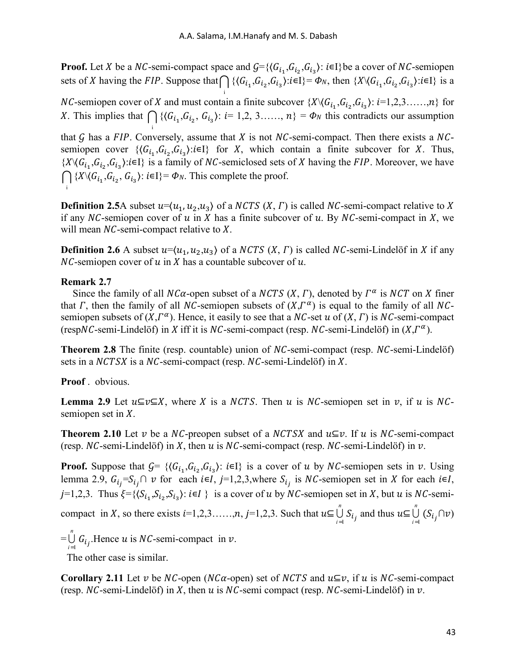**Proof.** Let *X* be a *NC*-semi-compact space and  $G = \{ (G_{i_1}, G_{i_2}, G_{i_3}) : i \in I \}$  be a cover of *NC*-semiopen sets of X having the FIP. Suppose that  $\bigcap \{ (G_{i_1}, G_{i_2}, G_{i_3}) : i \in I \} = \Phi_N$ , then  $\{X \setminus (G_{i_1}, G_{i_2}, G_{i_3}) : i \in I \}$  is a

*NC*-semiopen cover of *X* and must contain a finite subcover  $\{X \setminus G_{i_1}, G_{i_2}, G_{i_3}\}$ :  $i=1,2,3, \ldots, n\}$  for X. This implies that  $\bigcap \{ \langle G_{i_1}, G_{i_2}, G_{i_3} \rangle : i = 1, 2, 3, \ldots, n \} = \Phi_N$  this contradicts our assumption

i

i

that  $G$  has a FIP. Conversely, assume that  $X$  is not  $NC$ -semi-compact. Then there exists a  $NC$ semiopen cover  $\{G_{i_1}, G_{i_2}, G_{i_3}\}$ : $i \in I\}$  for X, which contain a finite subcover for X. Thus,  ${\{X \setminus (G_{i_1}, G_{i_2}, G_{i_3}) : i \in I\}}$  is a family of NC-semiclosed sets of X having the FIP. Moreover, we have  ${\bigcap}$  { $X \setminus G_{i_1}, G_{i_2}, G_{i_3}$ }:  $i \in I$ }=  $\Phi_N$ . This complete the proof. i

**Definition 2.5**A subset  $u = \langle u_1, u_2, u_3 \rangle$  of a *NCTS*  $(X, \Gamma)$  is called *NC*-semi-compact relative to X if any NC-semiopen cover of  $u$  in  $X$  has a finite subcover of  $u$ . By NC-semi-compact in  $X$ , we will mean  $NC$ -semi-compact relative to  $X$ .

**Definition 2.6** A subset  $u=(u_1, u_2, u_3)$  of a *NCTS*  $(X, \Gamma)$  is called *NC*-semi-Lindelöf in *X* if any  $NC$ -semiopen cover of  $u$  in  $X$  has a countable subcover of  $u$ .

#### **Remark 2.7**

Since the family of all  $NC\alpha$ -open subset of a  $NCTS$   $(X, \Gamma)$ , denoted by  $\Gamma^{\alpha}$  is  $NCT$  on X finer that  $\Gamma$ , then the family of all NC-semiopen subsets of  $(X,\Gamma^\alpha)$  is equal to the family of all NCsemiopen subsets of  $(X,\Gamma^\alpha)$ . Hence, it easily to see that a NC-set u of  $(X, \Gamma)$  is NC-semi-compact (respNC-semi-Lindelöf) in X iff it is NC-semi-compact (resp. NC-semi-Lindelöf) in  $(X,\Gamma^{\alpha})$ .

**Theorem 2.8** The finite (resp. countable) union of NC-semi-compact (resp. NC-semi-Lindelöf) sets in a  $NCTSX$  is a  $NC$ -semi-compact (resp.  $NC$ -semi-Lindelöf) in  $X$ .

### **Proof** . obvious.

**Lemma 2.9** Let  $u \subseteq v \subseteq X$ , where X is a NCTS. Then u is NC-semiopen set in v, if u is NCsemiopen set in  $X$ .

**Theorem 2.10** Let v be a NC-preopen subset of a NCTSX and  $u \subseteq v$ . If u is NC-semi-compact (resp.  $NC$ -semi-Lindelöf) in X, then  $u$  is  $NC$ -semi-compact (resp.  $NC$ -semi-Lindelöf) in  $v$ .

**Proof.** Suppose that  $G = \{ (G_{i_1}, G_{i_2}, G_{i_3}) : i \in I \}$  is a cover of u by NC-semiopen sets in v. Using lemma 2.9,  $G_{i_j} = S_{i_j} \cap v$  for each  $i \in I$ ,  $j = 1,2,3$ , where  $S_{i_j}$  is *NC*-semiopen set in *X* for each  $i \in I$ ,  $j=1,2,3$ . Thus  $\xi = {\langle S_{i_1}, S_{i_2}, S_{i_3} \rangle : i \in I}$  is a cover of u by NC-semiopen set in X, but u is NC-semicompact in X, so there exists  $i=1,2,3,...,n$ ,  $j=1,2,3$ . Such that  $u \subseteq \bigcup_{i=1}^{n} S_{i_j}$  and thus  $u \subseteq \bigcup_{i=1}^{n} (S_{i_j} \cap v)$ 

 $=\bigcup_{i=1}^n G_{i_j}$ . Hence *u* is *NC*-semi-compact in *v*.

The other case is similar.

**Corollary 2.11** Let v be NC-open (NC $\alpha$ -open) set of NCTS and  $u \subseteq v$ , if u is NC-semi-compact (resp.  $NC$ -semi-Lindelöf) in X, then u is  $NC$ -semi compact (resp.  $NC$ -semi-Lindelöf) in  $\nu$ .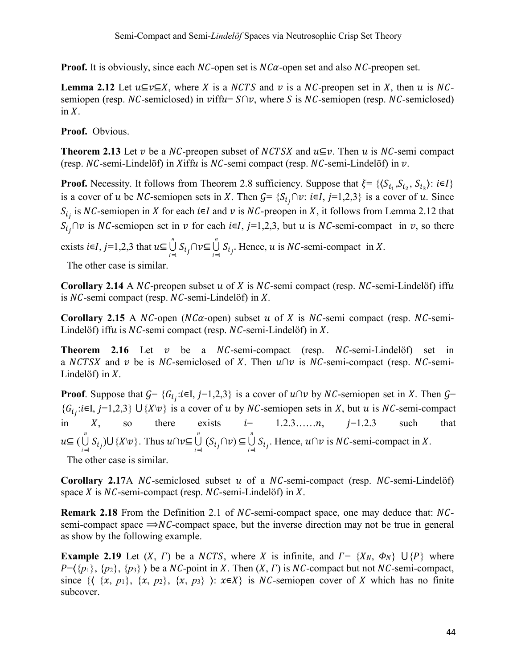**Proof.** It is obviously, since each  $NC$ -open set is  $NC\alpha$ -open set and also  $NC$ -preopen set.

**Lemma 2.12** Let  $u \subseteq v \subseteq X$ , where X is a NCTS and v is a NC-preopen set in X, then u is NCsemiopen (resp. NC-semiclosed) in viffu=  $S \cap v$ , where S is NC-semiopen (resp. NC-semiclosed) in  $X$ .

**Proof.** Obvious.

**Theorem 2.13** Let v be a NC-preopen subset of NCTSX and  $u \subseteq v$ . Then u is NC-semi compact (resp.  $NC$ -semi-Lindelöf) in  $X$ iff $u$  is  $NC$ -semi compact (resp.  $NC$ -semi-Lindelöf) in  $v$ .

**Proof.** Necessity. It follows from Theorem 2.8 sufficiency. Suppose that  $\xi = \{(\mathcal{S}_{i_1}, \mathcal{S}_{i_2}, \mathcal{S}_{i_3}) : i \in I\}$ is a cover of u be NC-semiopen sets in X. Then  $G = \{S_{i_j} \cap v : i \in I, j=1,2,3\}$  is a cover of u. Since  $S_{i_j}$  is NC-semiopen in X for each  $i \in I$  and  $v$  is NC-preopen in X, it follows from Lemma 2.12 that  $S_{i_j}$   $\cap v$  is NC-semiopen set in  $v$  for each  $i \in I$ ,  $j=1,2,3$ , but  $u$  is NC-semi-compact in  $v$ , so there

exists  $i \in I$ ,  $j=1,2,3$  that  $u \subseteq \bigcup_{i=1}^{n} S_{i,j} \cap v \subseteq \bigcup_{i=1}^{n} S_{i,j}$ . Hence, u is *NC*-semi-compact in X.

The other case is similar.

**Corollary 2.14** A  $NC$ -preopen subset  $u$  of  $X$  is  $NC$ -semi compact (resp.  $NC$ -semi-Lindelöf) iffu is  $NC$ -semi compact (resp.  $NC$ -semi-Lindelöf) in  $X$ .

**Corollary 2.15** A NC-open (NC $\alpha$ -open) subset  $u$  of  $X$  is NC-semi compact (resp. NC-semi-Lindelöf) iffu is  $NC$ -semi compact (resp.  $NC$ -semi-Lindelöf) in  $X$ .

**Theorem 2.16** Let  $v$  be a  $NC$ -semi-compact (resp.  $NC$ -semi-Lindel $\delta$ f) set in a NCTSX and v be is NC-semiclosed of X. Then  $u \cap v$  is NC-semi-compact (resp. NC-semi-Lindelöf) in  $X$ .

**Proof**. Suppose that  $G = \{G_{i_j}: i \in I, j=1,2,3\}$  is a cover of  $u \cap v$  by NC-semiopen set in X. Then  $G =$  ${G_i}_i$ : $i \in I$ ,  $j=1,2,3$  U{ $X \setminus v$ } is a cover of u by NC-semiopen sets in X, but u is NC-semi-compact in  $X$ , so there exists  $i = 1, 2, 3, \dots, n$ ,  $j=1, 2, 3$  such that ⊆ ( *n*  $\bigcup_{i=1}^{n} S_{i_j}$   $\bigcup$  { $X \setminus v$ }. Thus  $u \cap v \subseteq \bigcup_{i=1}^{n} (S_{i_j} \cap v) \subseteq \bigcup_{i=1}^{n} S_{i_j}$ . Hence,  $u \cap v$  is *NC*-semi-compact in X.

The other case is similar.

**Corollary 2.17**A  $NC$ -semiclosed subset  $u$  of a  $NC$ -semi-compact (resp.  $NC$ -semi-Lindelöf) space  $X$  is  $NC$ -semi-compact (resp.  $NC$ -semi-Lindelöf) in  $X$ .

**Remark 2.18** From the Definition 2.1 of NC-semi-compact space, one may deduce that: NCsemi-compact space  $\Rightarrow NC$ -compact space, but the inverse direction may not be true in general as show by the following example.

**Example 2.19** Let  $(X, \Gamma)$  be a NCTS, where X is infinite, and  $\Gamma = \{X_N, \Phi_N\}$  U $\{P\}$  where  $P=\{\{p_1\}, \{p_2\}, \{p_3\} \}$  be a NC-point in X. Then  $(X, \Gamma)$  is NC-compact but not NC-semi-compact, since  $\{ \langle \{x, p_1\}, \{x, p_2\}, \{x, p_3\} \rangle : x \in X \}$  is NC-semiopen cover of X which has no finite subcover.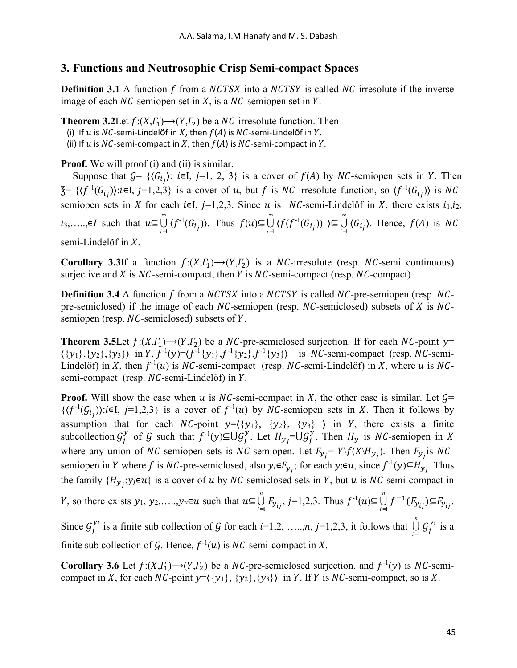# **3. Functions and Neutrosophic Crisp Semi-compact Spaces**

**Definition 3.1** A function f from a *NCTSX* into a *NCTSY* is called *NC*-irresolute if the inverse image of each  $NC$ -semiopen set in X, is a  $NC$ -semiopen set in Y.

**Theorem 3.2** Let  $f:(X,\Gamma_1) \rightarrow (Y,\Gamma_2)$  be a *NC*-irresolute function. Then

(i) If  $u$  is  $NC$ -semi-Lindelöf in  $X$ , then  $f(A)$  is  $NC$ -semi-Lindelöf in  $Y$ .

(ii) If  $u$  is NC-semi-compact in  $X$ , then  $f(A)$  is NC-semi-compact in  $Y$ .

**Proof.** We will proof (i) and (ii) is similar.

Suppose that  $G = \{ (G_{i_j}) : i \in I, j=1, 2, 3 \}$  is a cover of  $f(A)$  by NC-semiopen sets in Y. Then  $\mathcal{F} = \{ \langle f^{-1}(G_{i_j}) \rangle : i \in I, j=1,2,3 \}$  is a cover of u, but f is NC-irresolute function, so  $\langle f^{-1}(G_{i_j}) \rangle$  is NCsemiopen sets in X for each  $i \in I$ ,  $j=1,2,3$ . Since u is  $NC$ -semi-Lindelöf in X, there exists  $i_1, i_2$ , *i*<sub>3</sub>,....,∈*I* such that  $u \subseteq \bigcup_{i=1}^{\infty} {f^{-1}(G_{i_j})}$ . Thus  $f(u) \subseteq \bigcup_{i=1}^{\infty} {f(f^{-1}(G_{i_j}))} \subseteq \bigcup_{i=1}^{\infty} {G_{i_j}}$ . Hence,  $f(A)$  is *NC*semi-Lindelöf in  $X$ .

**Corollary 3.3**If a function  $f:(X,\Gamma_1) \rightarrow (Y,\Gamma_2)$  is a *NC*-irresolute (resp. *NC*-semi continuous) surjective and  $X$  is  $NC$ -semi-compact, then  $Y$  is  $NC$ -semi-compact (resp.  $NC$ -compact).

**Definition 3.4** A function f from a NCTSX into a NCTSY is called NC-pre-semiopen (resp. NCpre-semiclosed) if the image of each  $NC$ -semiopen (resp.  $NC$ -semiclosed) subsets of  $X$  is  $NC$ semiopen (resp.  $NC$ -semiclosed) subsets of  $Y$ .

**Theorem 3.5**Let  $f:(X,\Gamma_1) \rightarrow (Y,\Gamma_2)$  be a NC-pre-semiclosed surjection. If for each NC-point  $y=$  $\{\{y_1\}, \{y_2\}, \{y_3\}\}\$  in Y,  $f^{-1}(y) = \langle f^{-1}\{y_1\}, f^{-1}\{y_2\}, f^{-1}\{y_3\}\rangle$  is NC-semi-compact (resp. NC-semi-Lindelöf) in X, then  $f^{-1}(u)$  is NC-semi-compact (resp. NC-semi-Lindelöf) in X, where u is NCsemi-compact (resp.  $NC$ -semi-Lindelöf) in  $Y$ .

**Proof.** Will show the case when u is NC-semi-compact in X, the other case is similar. Let  $\mathcal{G}$ =  $\{(f^{-1}(G_{i_j})) : i \in I, j=1,2,3\}$  is a cover of  $f^{-1}(u)$  by NC-semiopen sets in X. Then it follows by assumption that for each  $NC$ -point  $y=(\{y_1\}, \{y_2\}, \{y_3\})$  in Y, there exists a finite subcollection  $G_j^y$  of G such that  $f^{-1}(y) \subseteq U G_j^y$ . Let  $H_{y_j} = U G_j^y$ . Then  $H_y$  is NC-semiopen in X where any union of *NC*-semiopen sets is *NC*-semiopen. Let  $F_{y} = Y \setminus f(X \setminus H_{y})$ . Then  $F_{y}$  is *NC*semiopen in Y where f is NC-pre-semiclosed, also  $y_i \in F_{y_j}$ ; for each  $y_i \in u$ , since  $f^{-1}(y) \subseteq H_{y_j}$ . Thus the family  $\{H_{y_j}: y_j \in u\}$  is a cover of u by NC-semiclosed sets in Y, but u is NC-semi-compact in

*Y*, so there exists  $y_1, y_2, \ldots, y_n \in u$  such that  $u \subseteq \bigcup_{i=1}^n F_{y_{ij}}, j=1,2,3$ . Thus  $f^{-1}(u) \subseteq \bigcup_{i=1}^n f^{-1}(F_{y_{ij}}) \subseteq F_{y_{ij}}$ . Since  $G_j^{y_i}$  is a finite sub collection of G for each  $i=1,2, \ldots, n, j=1,2,3$ , it follows that  $\bigcup_{i=1}^n G_j^{y_i}$  is a finite sub collection of G. Hence,  $f^{-1}(u)$  is NC-semi-compact in X.

**Corollary 3.6** Let  $f:(X,\Gamma_1) \rightarrow (Y,\Gamma_2)$  be a NC-pre-semiclosed surjection. and  $f^{-1}(y)$  is NC-semicompact in X, for each  $NC$ -point  $y = \langle \{y_1\}, \{y_2\}, \{y_3\} \rangle$  in Y. If Y is  $NC$ -semi-compact, so is X.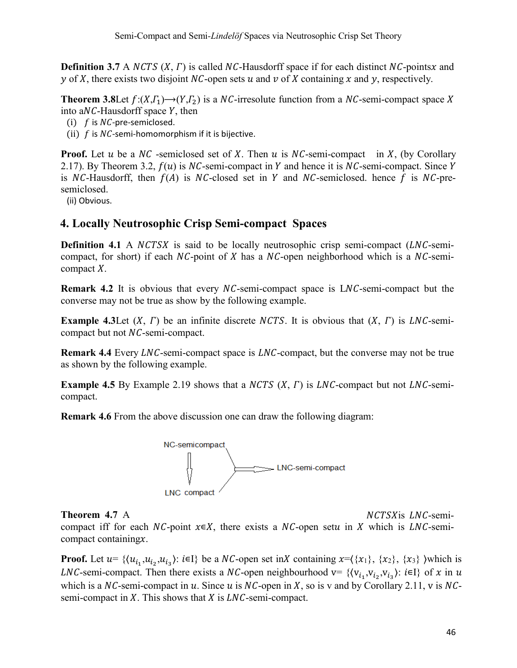**Definition 3.7** A *NCTS*  $(X, \Gamma)$  is called *NC*-Hausdorff space if for each distinct *NC*-pointsx and y of X, there exists two disjoint NC-open sets  $u$  and  $v$  of  $X$  containing  $x$  and  $y$ , respectively.

**Theorem 3.8** Let  $f:(X,\Gamma_1) \rightarrow (Y,\Gamma_2)$  is a NC-irresolute function from a NC-semi-compact space X into a $NC$ -Hausdorff space  $Y$ , then

- (i)  $f$  is  $NC$ -pre-semiclosed.
- (ii)  $f$  is  $NC$ -semi-homomorphism if it is bijective.

**Proof.** Let u be a  $NC$ -semiclosed set of X. Then u is  $NC$ -semi-compact in X, (by Corollary 2.17). By Theorem 3.2,  $f(u)$  is NC-semi-compact in Y and hence it is NC-semi-compact. Since Y is NC-Hausdorff, then  $f(A)$  is NC-closed set in Y and NC-semiclosed. hence f is NC-presemiclosed.

(ii) Obvious.

# **4. Locally Neutrosophic Crisp Semi-compact Spaces**

**Definition 4.1** A *NCTSX* is said to be locally neutrosophic crisp semi-compact (*LNC*-semicompact, for short) if each  $NC$ -point of X has a  $NC$ -open neighborhood which is a  $NC$ -semicompact  $X$ .

**Remark 4.2** It is obvious that every NC-semi-compact space is LNC-semi-compact but the converse may not be true as show by the following example.

**Example 4.3** Let  $(X, \Gamma)$  be an infinite discrete *NCTS*. It is obvious that  $(X, \Gamma)$  is *LNC*-semicompact but not  $NC$ -semi-compact.

**Remark 4.4** Every *LNC*-semi-compact space is *LNC*-compact, but the converse may not be true as shown by the following example.

**Example 4.5** By Example 2.19 shows that a  $NCTS$   $(X, \Gamma)$  is  $LNC$ -compact but not  $LNC$ -semicompact.

**Remark 4.6** From the above discussion one can draw the following diagram:



**Theorem 4.7** A *NCTSX* is *LNC*-semi-

compact iff for each  $NC$ -point  $x \in X$ , there exists a  $NC$ -open setu in X which is LNC-semicompact containing $x$ .

**Proof.** Let  $u = \{(u_{i_1}, u_{i_2}, u_{i_3})\colon i \in I\}$  be a NC-open set in X containing  $x = (\{x_1\}, \{x_2\}, \{x_3\})$  which is LNC-semi-compact. Then there exists a NC-open neighbourhood v=  $\{v_{i_1}, v_{i_2}, v_{i_2}\}$ :  $i \in I$  of x in u which is a  $NC$ -semi-compact in u. Since u is  $NC$ -open in X, so is v and by Corollary 2.11, v is  $NC$ semi-compact in  $X$ . This shows that  $X$  is  $LNC$ -semi-compact.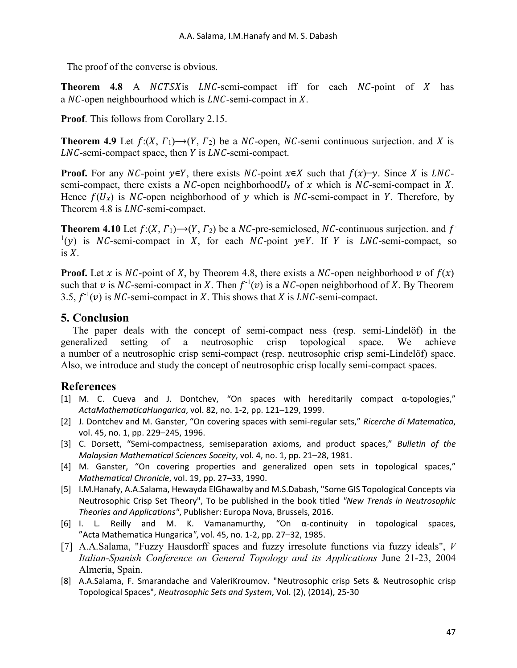The proof of the converse is obvious.

**Theorem 4.8** A *NCTSX* is *LNC*-semi-compact iff for each *NC*-point of *X* has a  $NC$ -open neighbourhood which is  $LNC$ -semi-compact in X.

**Proof**. This follows from Corollary 2.15.

**Theorem 4.9** Let  $f:(X, \Gamma) \rightarrow (Y, \Gamma_2)$  be a NC-open, NC-semi continuous surjection. and X is  $LNC$ -semi-compact space, then  $Y$  is  $LNC$ -semi-compact.

**Proof.** For any NC-point  $y \in Y$ , there exists NC-point  $x \in X$  such that  $f(x)=y$ . Since X is LNCsemi-compact, there exists a  $NC$ -open neighborhood  $U_x$  of  $x$  which is  $NC$ -semi-compact in  $X$ . Hence  $f(U_x)$  is NC-open neighborhood of y which is NC-semi-compact in Y. Therefore, by Theorem 4.8 is  $LNC$ -semi-compact.

**Theorem 4.10** Let  $f:(X, \Gamma_1) \rightarrow (Y, \Gamma_2)$  be a NC-pre-semiclosed, NC-continuous surjection. and  $f$  $(1)(y)$  is NC-semi-compact in X, for each NC-point  $y \in Y$ . If Y is LNC-semi-compact, so is  $X$ .

**Proof.** Let x is NC-point of X, by Theorem 4.8, there exists a NC-open neighborhood v of  $f(x)$ such that v is NC-semi-compact in X. Then  $f^{-1}(v)$  is a NC-open neighborhood of X. By Theorem 3.5,  $f^{-1}(v)$  is NC-semi-compact in X. This shows that X is LNC-semi-compact.

# **5. Conclusion**

The paper deals with the concept of semi-compact ness (resp. semi-Lindelöf) in the generalized setting of a neutrosophic crisp topological space. We achieve a number of a neutrosophic crisp semi-compact (resp. neutrosophic crisp semi-Lindelӧf) space. Also, we introduce and study the concept of neutrosophic crisp locally semi-compact spaces.

# **References**

- [1] M. C. Cueva and J. Dontchev, "On spaces with hereditarily compact α-topologies," *ActaMathematicaHungarica*, vol. 82, no. 1-2, pp. 121–129, 1999.
- [2] J. Dontchev and M. Ganster, "On covering spaces with semi-regular sets," *Ricerche di Matematica*, vol. 45, no. 1, pp. 229–245, 1996.
- [3] C. Dorsett, "Semi-compactness, semiseparation axioms, and product spaces," *Bulletin of the Malaysian Mathematical Sciences Soceity*, vol. 4, no. 1, pp. 21–28, 1981.
- [4] M. Ganster, "On covering properties and generalized open sets in topological spaces," *Mathematical Chronicle*, vol. 19, pp. 27–33, 1990.
- [5] I.M.Hanafy, A.A.Salama, Hewayda ElGhawalby and M.S.Dabash, "Some GIS Topological Concepts via Neutrosophic Crisp Set Theory", To be published in the book titled *"New Trends in Neutrosophic Theories and Applications"*, Publisher: Europa Nova, Brussels, 2016.
- [6] I. L. Reilly and M. K. Vamanamurthy, "On  $\alpha$ -continuity in topological spaces, "Acta Mathematica Hungarica*"*, vol. 45, no. 1-2, pp. 27–32, 1985.
- [7] A.A.Salama, "Fuzzy Hausdorff spaces and fuzzy irresolute functions via fuzzy ideals", *V Italian-Spanish Conference on General Topology and its Applications* June 21-23, 2004 Almeria, Spain.
- [8] A.A.Salama, F. Smarandache and ValeriKroumov. "Neutrosophic crisp Sets & Neutrosophic crisp Topological Spaces", *Neutrosophic Sets and System*, Vol. (2), (2014), 25-30